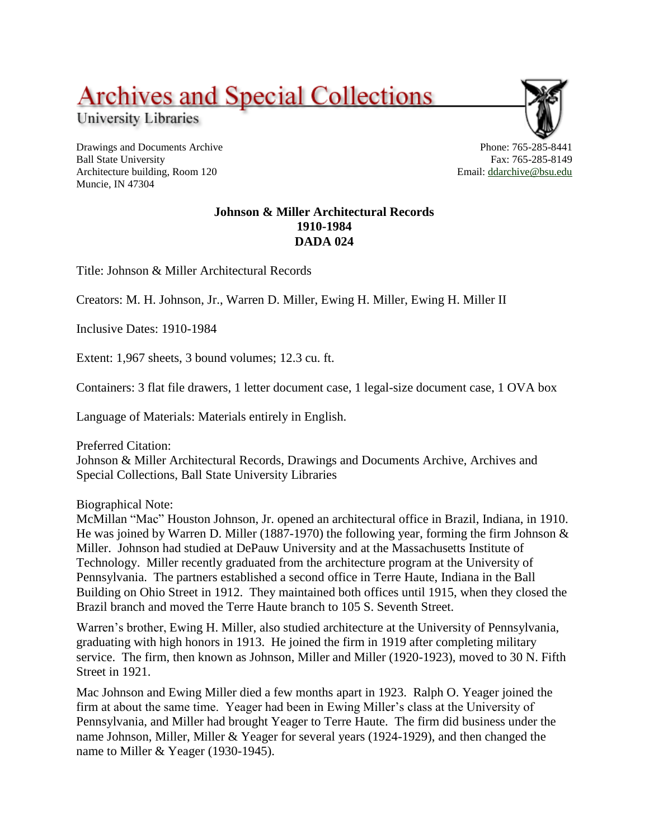# **Archives and Special Collections**

University Libraries

Drawings and Documents Archive Ball State University Architecture building, Room 120 Muncie, IN 47304

Phone: 765-285-8441 Fax: 765-285-8149 Email: [ddarchive@bsu.edu](mailto:ddarchive@bsu.edu)

### **Johnson & Miller Architectural Records 1910-1984 DADA 024**

Title: Johnson & Miller Architectural Records

Creators: M. H. Johnson, Jr., Warren D. Miller, Ewing H. Miller, Ewing H. Miller II

Inclusive Dates: 1910-1984

Extent: 1,967 sheets, 3 bound volumes; 12.3 cu. ft.

Containers: 3 flat file drawers, 1 letter document case, 1 legal-size document case, 1 OVA box

Language of Materials: Materials entirely in English.

Preferred Citation:

Johnson & Miller Architectural Records, Drawings and Documents Archive, Archives and Special Collections, Ball State University Libraries

Biographical Note:

McMillan "Mac" Houston Johnson, Jr. opened an architectural office in Brazil, Indiana, in 1910. He was joined by Warren D. Miller (1887-1970) the following year, forming the firm Johnson & Miller. Johnson had studied at DePauw University and at the Massachusetts Institute of Technology. Miller recently graduated from the architecture program at the University of Pennsylvania. The partners established a second office in Terre Haute, Indiana in the Ball Building on Ohio Street in 1912. They maintained both offices until 1915, when they closed the Brazil branch and moved the Terre Haute branch to 105 S. Seventh Street.

Warren's brother, Ewing H. Miller, also studied architecture at the University of Pennsylvania, graduating with high honors in 1913. He joined the firm in 1919 after completing military service. The firm, then known as Johnson, Miller and Miller (1920-1923), moved to 30 N. Fifth Street in 1921.

Mac Johnson and Ewing Miller died a few months apart in 1923. Ralph O. Yeager joined the firm at about the same time. Yeager had been in Ewing Miller's class at the University of Pennsylvania, and Miller had brought Yeager to Terre Haute. The firm did business under the name Johnson, Miller, Miller & Yeager for several years (1924-1929), and then changed the name to Miller & Yeager (1930-1945).

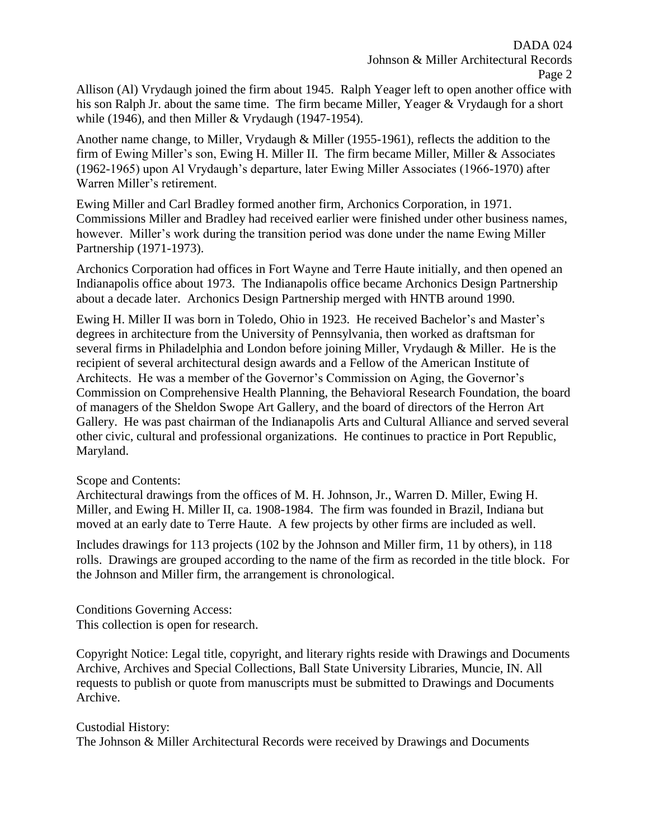Allison (Al) Vrydaugh joined the firm about 1945. Ralph Yeager left to open another office with his son Ralph Jr. about the same time. The firm became Miller, Yeager & Vrydaugh for a short while (1946), and then Miller & Vrydaugh (1947-1954).

Another name change, to Miller, Vrydaugh & Miller (1955-1961), reflects the addition to the firm of Ewing Miller's son, Ewing H. Miller II. The firm became Miller, Miller & Associates (1962-1965) upon Al Vrydaugh's departure, later Ewing Miller Associates (1966-1970) after Warren Miller's retirement.

Ewing Miller and Carl Bradley formed another firm, Archonics Corporation, in 1971. Commissions Miller and Bradley had received earlier were finished under other business names, however. Miller's work during the transition period was done under the name Ewing Miller Partnership (1971-1973).

Archonics Corporation had offices in Fort Wayne and Terre Haute initially, and then opened an Indianapolis office about 1973. The Indianapolis office became Archonics Design Partnership about a decade later. Archonics Design Partnership merged with HNTB around 1990.

Ewing H. Miller II was born in Toledo, Ohio in 1923. He received Bachelor's and Master's degrees in architecture from the University of Pennsylvania, then worked as draftsman for several firms in Philadelphia and London before joining Miller, Vrydaugh & Miller. He is the recipient of several architectural design awards and a Fellow of the American Institute of Architects. He was a member of the Governor's Commission on Aging, the Governor's Commission on Comprehensive Health Planning, the Behavioral Research Foundation, the board of managers of the Sheldon Swope Art Gallery, and the board of directors of the Herron Art Gallery. He was past chairman of the Indianapolis Arts and Cultural Alliance and served several other civic, cultural and professional organizations. He continues to practice in Port Republic, Maryland.

#### Scope and Contents:

Architectural drawings from the offices of M. H. Johnson, Jr., Warren D. Miller, Ewing H. Miller, and Ewing H. Miller II, ca. 1908-1984. The firm was founded in Brazil, Indiana but moved at an early date to Terre Haute. A few projects by other firms are included as well.

Includes drawings for 113 projects (102 by the Johnson and Miller firm, 11 by others), in 118 rolls. Drawings are grouped according to the name of the firm as recorded in the title block. For the Johnson and Miller firm, the arrangement is chronological.

Conditions Governing Access: This collection is open for research.

Copyright Notice: Legal title, copyright, and literary rights reside with Drawings and Documents Archive, Archives and Special Collections, Ball State University Libraries, Muncie, IN. All requests to publish or quote from manuscripts must be submitted to Drawings and Documents Archive.

#### Custodial History:

The Johnson & Miller Architectural Records were received by Drawings and Documents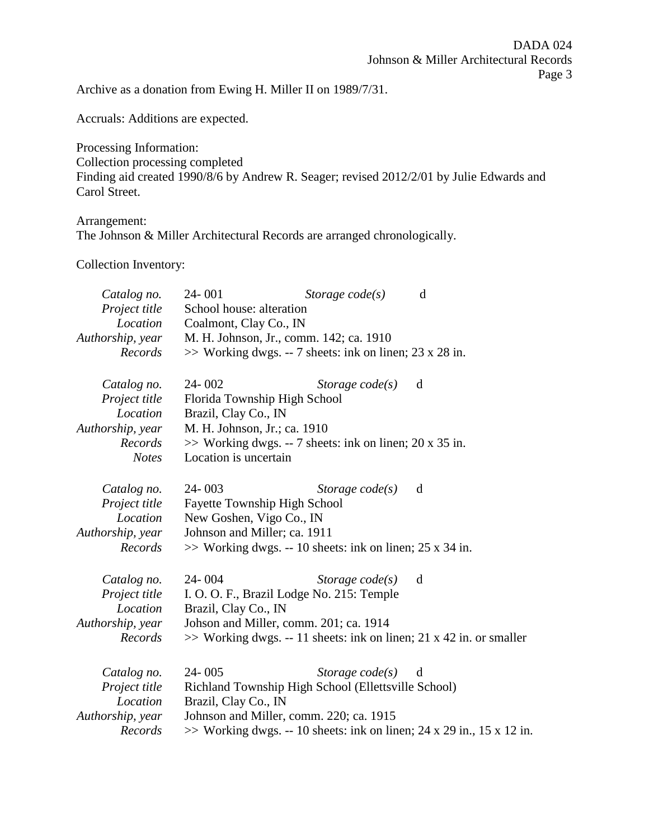Archive as a donation from Ewing H. Miller II on 1989/7/31.

Accruals: Additions are expected.

Processing Information:

Collection processing completed

Finding aid created 1990/8/6 by Andrew R. Seager; revised 2012/2/01 by Julie Edwards and Carol Street.

Arrangement:

The Johnson & Miller Architectural Records are arranged chronologically.

Collection Inventory:

| Catalog no.<br>Project title<br>Location<br>Authorship, year<br>Records | 24-001<br>School house: alteration<br>Coalmont, Clay Co., IN<br>M. H. Johnson, Jr., comm. 142; ca. 1910<br>$\gg$ Working dwgs. -- 7 sheets: ink on linen; 23 x 28 in.                               | Storage $code(s)$ | d                                                                             |
|-------------------------------------------------------------------------|-----------------------------------------------------------------------------------------------------------------------------------------------------------------------------------------------------|-------------------|-------------------------------------------------------------------------------|
| Catalog no.<br>Project title<br>Location<br>Authorship, year            | $24 - 002$<br>Florida Township High School<br>Brazil, Clay Co., IN<br>M. H. Johnson, Jr.; ca. 1910                                                                                                  | Storage $code(s)$ | d                                                                             |
| Records<br><b>Notes</b>                                                 | $\gg$ Working dwgs. -- 7 sheets: ink on linen; 20 x 35 in.<br>Location is uncertain                                                                                                                 |                   |                                                                               |
| Catalog no.<br>Project title<br>Location<br>Authorship, year<br>Records | $24 - 003$<br><b>Fayette Township High School</b><br>New Goshen, Vigo Co., IN<br>Johnson and Miller; ca. 1911<br>>> Working dwgs. -- 10 sheets: ink on linen; 25 x 34 in.                           | Storage $code(s)$ | d                                                                             |
| Catalog no.<br>Project title<br>Location<br>Authorship, year<br>Records | $24 - 004$<br>I. O. O. F., Brazil Lodge No. 215: Temple<br>Brazil, Clay Co., IN<br>Johson and Miller, comm. 201; ca. 1914<br>$\gg$ Working dwgs. -- 11 sheets: ink on linen; 21 x 42 in. or smaller | Storage $code(s)$ | d                                                                             |
| Catalog no.<br>Project title<br>Location<br>Authorship, year<br>Records | $24 - 005$<br>Richland Township High School (Ellettsville School)<br>Brazil, Clay Co., IN<br>Johnson and Miller, comm. 220; ca. 1915                                                                | Storage $code(s)$ | d<br>$\gg$ Working dwgs. -- 10 sheets: ink on linen; 24 x 29 in., 15 x 12 in. |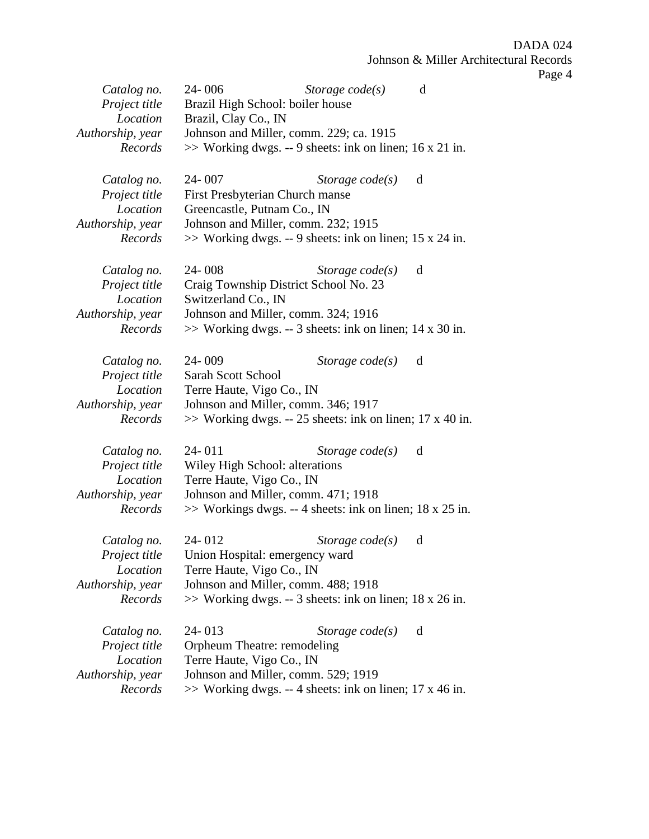| Catalog no.                  | 24-006                                                                                            | Storage $code(s)$ | d |  |
|------------------------------|---------------------------------------------------------------------------------------------------|-------------------|---|--|
| Project title                | Brazil High School: boiler house                                                                  |                   |   |  |
| Location                     | Brazil, Clay Co., IN                                                                              |                   |   |  |
| Authorship, year             | Johnson and Miller, comm. 229; ca. 1915                                                           |                   |   |  |
| Records                      | $\gg$ Working dwgs. -- 9 sheets: ink on linen; 16 x 21 in.                                        |                   |   |  |
|                              |                                                                                                   |                   |   |  |
| Catalog no.                  | 24-007                                                                                            | Storage $code(s)$ | d |  |
| Project title                | First Presbyterian Church manse                                                                   |                   |   |  |
| Location                     | Greencastle, Putnam Co., IN                                                                       |                   |   |  |
| Authorship, year             | Johnson and Miller, comm. 232; 1915                                                               |                   |   |  |
| Records                      | $\gg$ Working dwgs. -- 9 sheets: ink on linen; 15 x 24 in.                                        |                   |   |  |
|                              |                                                                                                   |                   |   |  |
| Catalog no.                  | 24-008                                                                                            | Storage $code(s)$ | d |  |
| Project title                | Craig Township District School No. 23                                                             |                   |   |  |
| Location                     | Switzerland Co., IN                                                                               |                   |   |  |
| Authorship, year             | Johnson and Miller, comm. 324; 1916                                                               |                   |   |  |
| Records                      | $\gg$ Working dwgs. -- 3 sheets: ink on linen; 14 x 30 in.                                        |                   |   |  |
|                              |                                                                                                   |                   |   |  |
| Catalog no.                  | 24-009                                                                                            | Storage $code(s)$ | d |  |
| Project title                | Sarah Scott School                                                                                |                   |   |  |
| Location                     | Terre Haute, Vigo Co., IN                                                                         |                   |   |  |
| Authorship, year             | Johnson and Miller, comm. 346; 1917                                                               |                   |   |  |
| Records                      | $\gg$ Working dwgs. -- 25 sheets: ink on linen; 17 x 40 in.                                       |                   |   |  |
|                              |                                                                                                   |                   |   |  |
| Catalog no.                  | 24-011                                                                                            | Storage $code(s)$ | d |  |
| Project title                | Wiley High School: alterations                                                                    |                   |   |  |
| Location                     | Terre Haute, Vigo Co., IN                                                                         |                   |   |  |
| Authorship, year             | Johnson and Miller, comm. 471; 1918                                                               |                   |   |  |
| Records                      | $\gg$ Workings dwgs. -- 4 sheets: ink on linen; 18 x 25 in.                                       |                   |   |  |
|                              |                                                                                                   |                   |   |  |
| Catalog no.                  | 24-012                                                                                            | Storage $code(s)$ | d |  |
| Project title                | Union Hospital: emergency ward                                                                    |                   |   |  |
| Location                     | Terre Haute, Vigo Co., IN                                                                         |                   |   |  |
| Authorship, year             | Johnson and Miller, comm. 488; 1918                                                               |                   |   |  |
| Records                      | $\gg$ Working dwgs. -- 3 sheets: ink on linen; 18 x 26 in.                                        |                   |   |  |
|                              |                                                                                                   |                   |   |  |
|                              | 24-013                                                                                            | Storage $code(s)$ | d |  |
| Catalog no.<br>Project title |                                                                                                   |                   |   |  |
| Location                     | Orpheum Theatre: remodeling                                                                       |                   |   |  |
|                              | Terre Haute, Vigo Co., IN                                                                         |                   |   |  |
| Authorship, year             | Johnson and Miller, comm. 529; 1919<br>$\gg$ Working dwgs. -- 4 sheets: ink on linen; 17 x 46 in. |                   |   |  |
| Records                      |                                                                                                   |                   |   |  |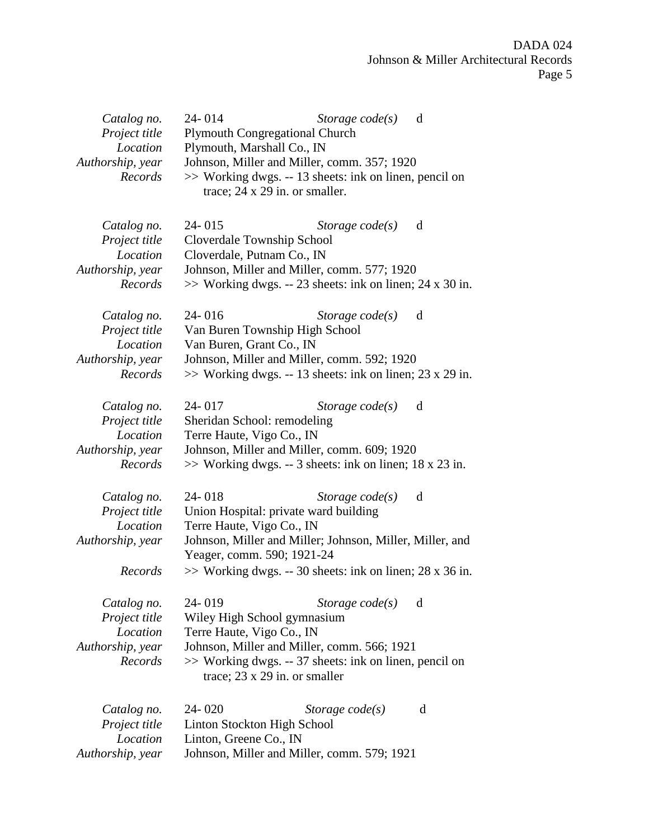| Catalog no.      | 24-014<br>Storage $code(s)$<br>d                            |  |  |  |  |
|------------------|-------------------------------------------------------------|--|--|--|--|
| Project title    | <b>Plymouth Congregational Church</b>                       |  |  |  |  |
| Location         | Plymouth, Marshall Co., IN                                  |  |  |  |  |
| Authorship, year | Johnson, Miller and Miller, comm. 357; 1920                 |  |  |  |  |
| Records          | >> Working dwgs. -- 13 sheets: ink on linen, pencil on      |  |  |  |  |
|                  | trace; $24 \times 29$ in. or smaller.                       |  |  |  |  |
|                  |                                                             |  |  |  |  |
| Catalog no.      | $24 - 015$<br>Storage $code(s)$<br>d                        |  |  |  |  |
| Project title    | Cloverdale Township School                                  |  |  |  |  |
| Location         | Cloverdale, Putnam Co., IN                                  |  |  |  |  |
| Authorship, year | Johnson, Miller and Miller, comm. 577; 1920                 |  |  |  |  |
| Records          | $\gg$ Working dwgs. -- 23 sheets: ink on linen; 24 x 30 in. |  |  |  |  |
|                  |                                                             |  |  |  |  |
| Catalog no.      | 24-016<br>Storage $code(s)$<br>d                            |  |  |  |  |
| Project title    | Van Buren Township High School                              |  |  |  |  |
| Location         | Van Buren, Grant Co., IN                                    |  |  |  |  |
| Authorship, year | Johnson, Miller and Miller, comm. 592; 1920                 |  |  |  |  |
| Records          | $\gg$ Working dwgs. -- 13 sheets: ink on linen; 23 x 29 in. |  |  |  |  |
|                  |                                                             |  |  |  |  |
| Catalog no.      | 24-017<br>Storage $code(s)$<br>d                            |  |  |  |  |
| Project title    | Sheridan School: remodeling                                 |  |  |  |  |
| Location         | Terre Haute, Vigo Co., IN                                   |  |  |  |  |
| Authorship, year | Johnson, Miller and Miller, comm. 609; 1920                 |  |  |  |  |
| Records          | $\gg$ Working dwgs. -- 3 sheets: ink on linen; 18 x 23 in.  |  |  |  |  |
|                  |                                                             |  |  |  |  |
| Catalog no.      | 24-018<br>Storage $code(s)$<br>d                            |  |  |  |  |
| Project title    | Union Hospital: private ward building                       |  |  |  |  |
| Location         | Terre Haute, Vigo Co., IN                                   |  |  |  |  |
| Authorship, year | Johnson, Miller and Miller; Johnson, Miller, Miller, and    |  |  |  |  |
|                  | Yeager, comm. 590; 1921-24                                  |  |  |  |  |
| Records          | $\gg$ Working dwgs. -- 30 sheets: ink on linen; 28 x 36 in. |  |  |  |  |
|                  |                                                             |  |  |  |  |
| Catalog no.      | 24-019<br>Storage $code(s)$<br>d                            |  |  |  |  |
| Project title    | Wiley High School gymnasium                                 |  |  |  |  |
| Location         | Terre Haute, Vigo Co., IN                                   |  |  |  |  |
| Authorship, year | Johnson, Miller and Miller, comm. 566; 1921                 |  |  |  |  |
| Records          | >> Working dwgs. -- 37 sheets: ink on linen, pencil on      |  |  |  |  |
|                  | trace; $23 \times 29$ in. or smaller                        |  |  |  |  |
|                  |                                                             |  |  |  |  |
| Catalog no.      | 24-020<br>Storage $code(s)$<br>d                            |  |  |  |  |
| Project title    | Linton Stockton High School                                 |  |  |  |  |
| Location         | Linton, Greene Co., IN                                      |  |  |  |  |
| Authorship, year | Johnson, Miller and Miller, comm. 579; 1921                 |  |  |  |  |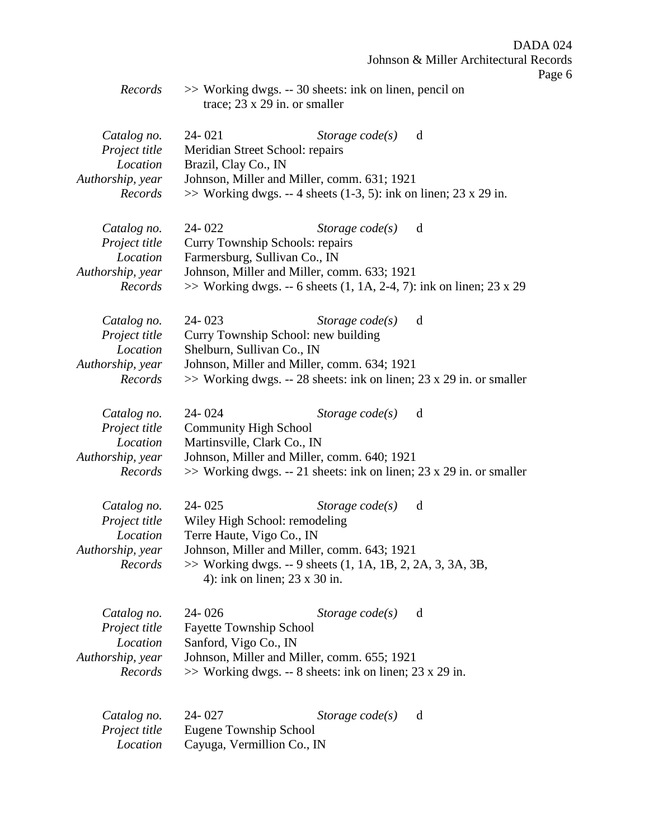| Records                                                                 | >> Working dwgs. -- 30 sheets: ink on linen, pencil on<br>trace; $23 \times 29$ in. or smaller                                                                                                                                                      |
|-------------------------------------------------------------------------|-----------------------------------------------------------------------------------------------------------------------------------------------------------------------------------------------------------------------------------------------------|
| Catalog no.<br>Project title<br>Location<br>Authorship, year<br>Records | 24-021<br>Storage $code(s)$<br>d<br>Meridian Street School: repairs<br>Brazil, Clay Co., IN<br>Johnson, Miller and Miller, comm. 631; 1921<br>$\gg$ Working dwgs. -- 4 sheets (1-3, 5): ink on linen; 23 x 29 in.                                   |
| Catalog no.<br>Project title<br>Location<br>Authorship, year<br>Records | 24-022<br>Storage $code(s)$<br>d<br>Curry Township Schools: repairs<br>Farmersburg, Sullivan Co., IN<br>Johnson, Miller and Miller, comm. 633; 1921<br>$\gg$ Working dwgs. -- 6 sheets (1, 1A, 2-4, 7): ink on linen; 23 x 29                       |
| Catalog no.<br>Project title<br>Location<br>Authorship, year<br>Records | $24 - 023$<br>Storage $code(s)$<br>d<br>Curry Township School: new building<br>Shelburn, Sullivan Co., IN<br>Johnson, Miller and Miller, comm. 634; 1921<br>$\gg$ Working dwgs. -- 28 sheets: ink on linen; 23 x 29 in. or smaller                  |
| Catalog no.<br>Project title<br>Location<br>Authorship, year<br>Records | 24-024<br>Storage $code(s)$<br>d<br><b>Community High School</b><br>Martinsville, Clark Co., IN<br>Johnson, Miller and Miller, comm. 640; 1921<br>>> Working dwgs. -- 21 sheets: ink on linen; 23 x 29 in. or smaller                               |
| Catalog no.<br>Project title<br>Location<br>Authorship, year<br>Records | $24 - 025$<br>Storage $code(s)$<br>d<br>Wiley High School: remodeling<br>Terre Haute, Vigo Co., IN<br>Johnson, Miller and Miller, comm. 643; 1921<br>$\gg$ Working dwgs. -- 9 sheets (1, 1A, 1B, 2, 2A, 3, 3A, 3B,<br>4): ink on linen; 23 x 30 in. |
| Catalog no.<br>Project title<br>Location<br>Authorship, year<br>Records | $24 - 026$<br>Storage $code(s)$<br>d<br><b>Fayette Township School</b><br>Sanford, Vigo Co., IN<br>Johnson, Miller and Miller, comm. 655; 1921<br>$\gg$ Working dwgs. -- 8 sheets: ink on linen; 23 x 29 in.                                        |

| Catalog no.   | 24 - 027                   | Storage code(s) |  |
|---------------|----------------------------|-----------------|--|
| Project title | Eugene Township School     |                 |  |
| Location      | Cayuga, Vermillion Co., IN |                 |  |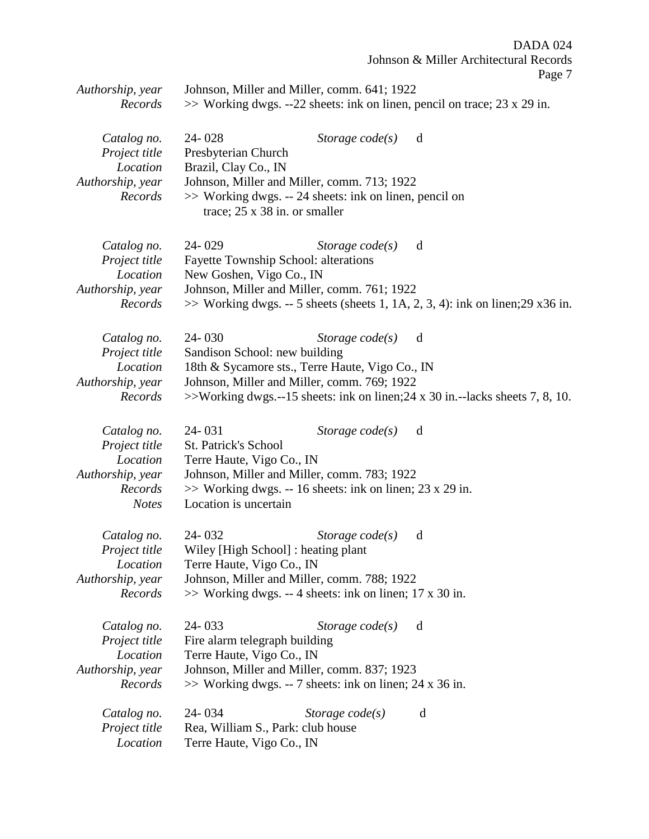$P_{\text{20}}$  7

|                  |                                                                                    | rage / |
|------------------|------------------------------------------------------------------------------------|--------|
| Authorship, year | Johnson, Miller and Miller, comm. 641; 1922                                        |        |
| Records          | $\gg$ Working dwgs. --22 sheets: ink on linen, pencil on trace; 23 x 29 in.        |        |
|                  |                                                                                    |        |
|                  | d                                                                                  |        |
| Catalog no.      | 24-028<br>Storage $code(s)$                                                        |        |
| Project title    | Presbyterian Church                                                                |        |
| Location         | Brazil, Clay Co., IN                                                               |        |
| Authorship, year | Johnson, Miller and Miller, comm. 713; 1922                                        |        |
| Records          | >> Working dwgs. -- 24 sheets: ink on linen, pencil on                             |        |
|                  | trace; $25 \times 38$ in. or smaller                                               |        |
|                  |                                                                                    |        |
|                  |                                                                                    |        |
| Catalog no.      | 24-029<br>Storage $code(s)$<br>d                                                   |        |
| Project title    | <b>Fayette Township School: alterations</b>                                        |        |
| Location         | New Goshen, Vigo Co., IN                                                           |        |
| Authorship, year | Johnson, Miller and Miller, comm. 761; 1922                                        |        |
| Records          | $\gg$ Working dwgs. -- 5 sheets (sheets 1, 1A, 2, 3, 4): ink on linen; 29 x 36 in. |        |
|                  |                                                                                    |        |
|                  |                                                                                    |        |
| Catalog no.      | 24-030<br>Storage $code(s)$<br>d                                                   |        |
| Project title    | Sandison School: new building                                                      |        |
| Location         | 18th & Sycamore sts., Terre Haute, Vigo Co., IN                                    |        |
| Authorship, year | Johnson, Miller and Miller, comm. 769; 1922                                        |        |
| Records          | $\gg$ Working dwgs.--15 sheets: ink on linen; 24 x 30 in.--lacks sheets 7, 8, 10.  |        |
|                  |                                                                                    |        |
|                  |                                                                                    |        |
| Catalog no.      | 24-031<br>Storage $code(s)$<br>d                                                   |        |
| Project title    | St. Patrick's School                                                               |        |
| Location         | Terre Haute, Vigo Co., IN                                                          |        |
| Authorship, year | Johnson, Miller and Miller, comm. 783; 1922                                        |        |
| Records          | $\gg$ Working dwgs. -- 16 sheets: ink on linen; 23 x 29 in.                        |        |
| <b>Notes</b>     | Location is uncertain                                                              |        |
|                  |                                                                                    |        |
| Catalog no.      | 24-032<br>Storage $code(s)$<br>d                                                   |        |
| Project title    | Wiley [High School] : heating plant                                                |        |
|                  |                                                                                    |        |
| Location         | Terre Haute, Vigo Co., IN                                                          |        |
| Authorship, year | Johnson, Miller and Miller, comm. 788; 1922                                        |        |
| Records          | $\gg$ Working dwgs. -- 4 sheets: ink on linen; 17 x 30 in.                         |        |
|                  |                                                                                    |        |
| Catalog no.      | 24-033<br>Storage $code(s)$<br>d                                                   |        |
| Project title    | Fire alarm telegraph building                                                      |        |
| Location         | Terre Haute, Vigo Co., IN                                                          |        |
| Authorship, year | Johnson, Miller and Miller, comm. 837; 1923                                        |        |
|                  |                                                                                    |        |
| Records          | $\gg$ Working dwgs. -- 7 sheets: ink on linen; 24 x 36 in.                         |        |
|                  | 24-034<br>Storage $code(s)$<br>d                                                   |        |
| Catalog no.      |                                                                                    |        |
| Project title    | Rea, William S., Park: club house                                                  |        |
| Location         | Terre Haute, Vigo Co., IN                                                          |        |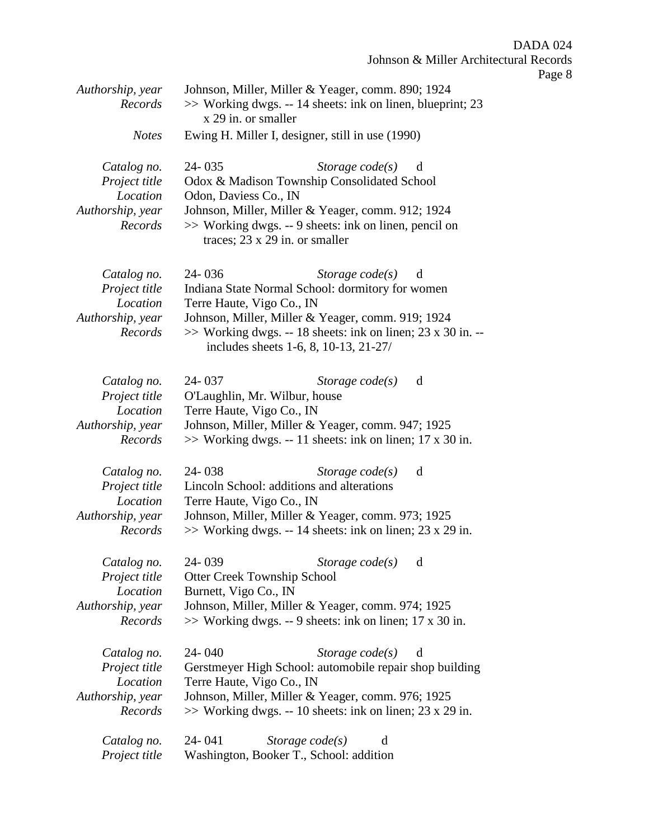Johnson & Miller Architectural Records *Authorship, year* Johnson, Miller, Miller & Yeager, comm. 890; 1924 *Records* >> Working dwgs. -- 14 sheets: ink on linen, blueprint; 23 x 29 in. or smaller *Notes* Ewing H. Miller I, designer, still in use (1990) *Catalog no.* 24- 035 *Storage code(s)* d *Project title* Odox & Madison Township Consolidated School *Location* Odon, Daviess Co., IN *Authorship, year* Johnson, Miller, Miller & Yeager, comm. 912; 1924 *Records* >> Working dwgs. -- 9 sheets: ink on linen, pencil on traces; 23 x 29 in. or smaller *Catalog no.* 24- 036 *Storage code(s)* d *Project title* Indiana State Normal School: dormitory for women *Location* Terre Haute, Vigo Co., IN *Authorship, year* Johnson, Miller, Miller & Yeager, comm. 919; 1924 *Records* >> Working dwgs. -- 18 sheets: ink on linen; 23 x 30 in. -includes sheets 1-6, 8, 10-13, 21-27/ *Catalog no.* 24- 037 *Storage code(s)* d *Project title* O'Laughlin, Mr. Wilbur, house *Location* Terre Haute, Vigo Co., IN *Authorship, year* Johnson, Miller, Miller & Yeager, comm. 947; 1925 *Records* >> Working dwgs. -- 11 sheets: ink on linen; 17 x 30 in. *Catalog no.* 24- 038 *Storage code(s)* d *Project title* Lincoln School: additions and alterations *Location* Terre Haute, Vigo Co., IN *Authorship, year* Johnson, Miller, Miller & Yeager, comm. 973; 1925 *Records* >> Working dwgs. -- 14 sheets: ink on linen; 23 x 29 in. *Catalog no.* 24- 039 *Storage code(s)* d *Project title* Otter Creek Township School *Location* Burnett, Vigo Co., IN *Authorship, year* Johnson, Miller, Miller & Yeager, comm. 974; 1925 *Records* >> Working dwgs. -- 9 sheets: ink on linen; 17 x 30 in. *Catalog no.* 24- 040 *Storage code(s)* d *Project title* Gerstmeyer High School: automobile repair shop building *Location* Terre Haute, Vigo Co., IN *Authorship, year* Johnson, Miller, Miller & Yeager, comm. 976; 1925 *Records* >> Working dwgs. -- 10 sheets: ink on linen; 23 x 29 in. *Catalog no.* 24- 041 *Storage code(s)* d *Project title* Washington, Booker T., School: addition

DADA 024

Page 8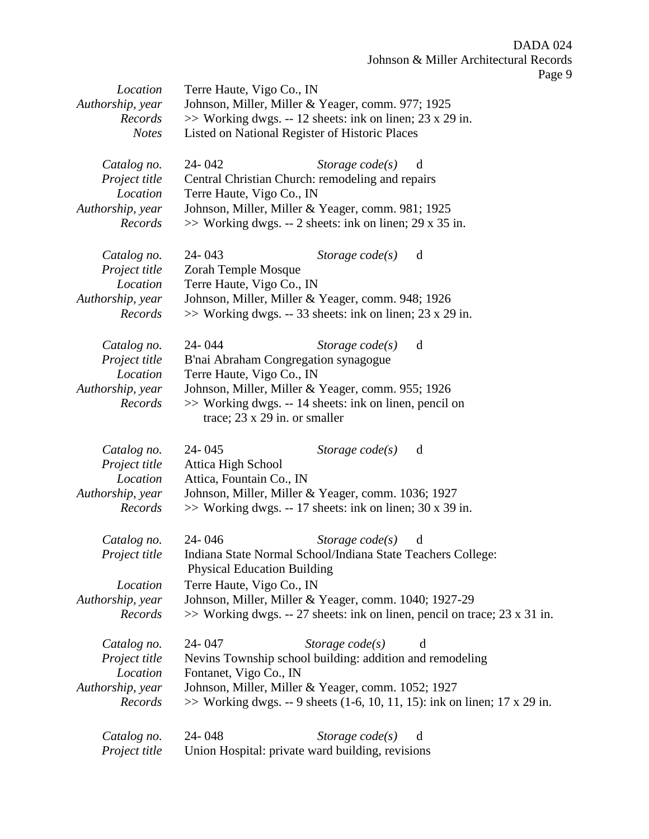| Location<br>Authorship, year | Terre Haute, Vigo Co., IN<br>Johnson, Miller, Miller & Yeager, comm. 977; 1925                                |  |  |  |
|------------------------------|---------------------------------------------------------------------------------------------------------------|--|--|--|
| Records<br><b>Notes</b>      | $\gg$ Working dwgs. -- 12 sheets: ink on linen; 23 x 29 in.<br>Listed on National Register of Historic Places |  |  |  |
| Catalog no.                  | 24-042<br>Storage $code(s)$<br>d                                                                              |  |  |  |
| Project title                | Central Christian Church: remodeling and repairs                                                              |  |  |  |
| Location<br>Authorship, year | Terre Haute, Vigo Co., IN<br>Johnson, Miller, Miller & Yeager, comm. 981; 1925                                |  |  |  |
| Records                      | $\gg$ Working dwgs. -- 2 sheets: ink on linen; 29 x 35 in.                                                    |  |  |  |
| Catalog no.                  | 24-043<br>Storage $code(s)$<br>d                                                                              |  |  |  |
| Project title                | Zorah Temple Mosque                                                                                           |  |  |  |
| Location<br>Authorship, year | Terre Haute, Vigo Co., IN<br>Johnson, Miller, Miller & Yeager, comm. 948; 1926                                |  |  |  |
| Records                      | $\gg$ Working dwgs. -- 33 sheets: ink on linen; 23 x 29 in.                                                   |  |  |  |
| Catalog no.                  | 24-044<br>Storage $code(s)$<br>d                                                                              |  |  |  |
| Project title                | B'nai Abraham Congregation synagogue                                                                          |  |  |  |
| Location                     | Terre Haute, Vigo Co., IN                                                                                     |  |  |  |
| Authorship, year<br>Records  | Johnson, Miller, Miller & Yeager, comm. 955; 1926<br>>> Working dwgs. -- 14 sheets: ink on linen, pencil on   |  |  |  |
|                              | trace; $23 \times 29$ in. or smaller                                                                          |  |  |  |
| Catalog no.                  | $24 - 045$<br>Storage $code(s)$<br>d                                                                          |  |  |  |
| Project title                | Attica High School                                                                                            |  |  |  |
| Location                     | Attica, Fountain Co., IN                                                                                      |  |  |  |
| Authorship, year             | Johnson, Miller, Miller & Yeager, comm. 1036; 1927                                                            |  |  |  |
| Records                      | $\gg$ Working dwgs. -- 17 sheets: ink on linen; 30 x 39 in.                                                   |  |  |  |
| Catalog no.                  | 24-046<br>Storage $code(s)$<br>d                                                                              |  |  |  |
| Project title                | Indiana State Normal School/Indiana State Teachers College:<br><b>Physical Education Building</b>             |  |  |  |
| Location                     | Terre Haute, Vigo Co., IN                                                                                     |  |  |  |
| Authorship, year             | Johnson, Miller, Miller & Yeager, comm. 1040; 1927-29                                                         |  |  |  |
| Records                      | $\gg$ Working dwgs. -- 27 sheets: ink on linen, pencil on trace; 23 x 31 in.                                  |  |  |  |
| Catalog no.                  | 24-047<br>Storage $code(s)$<br>d                                                                              |  |  |  |
| Project title                | Nevins Township school building: addition and remodeling                                                      |  |  |  |
| Location                     | Fontanet, Vigo Co., IN                                                                                        |  |  |  |
| Authorship, year             | Johnson, Miller, Miller & Yeager, comm. 1052; 1927                                                            |  |  |  |
| Records                      | $\gg$ Working dwgs. -- 9 sheets (1-6, 10, 11, 15): ink on linen; 17 x 29 in.                                  |  |  |  |
| Catalog no.                  | 24-048<br>Storage $code(s)$<br>d                                                                              |  |  |  |
| Project title                | Union Hospital: private ward building, revisions                                                              |  |  |  |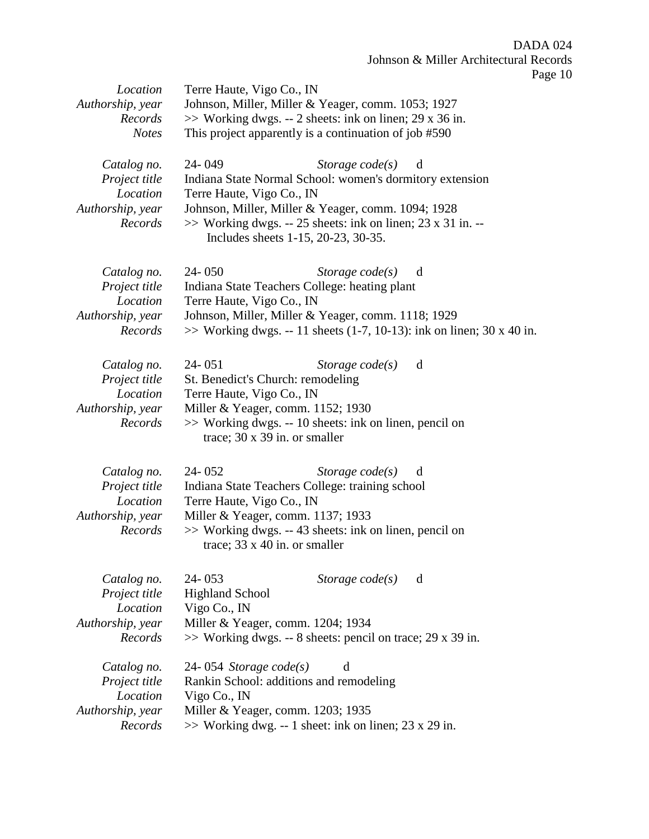| Location<br>Authorship, year<br>Records<br><b>Notes</b>                 | Terre Haute, Vigo Co., IN<br>Johnson, Miller, Miller & Yeager, comm. 1053; 1927<br>$\gg$ Working dwgs. -- 2 sheets: ink on linen; 29 x 36 in.<br>This project apparently is a continuation of job #590                                                                                   |
|-------------------------------------------------------------------------|------------------------------------------------------------------------------------------------------------------------------------------------------------------------------------------------------------------------------------------------------------------------------------------|
| Catalog no.<br>Project title<br>Location<br>Authorship, year<br>Records | 24-049<br>Storage $code(s)$<br>d<br>Indiana State Normal School: women's dormitory extension<br>Terre Haute, Vigo Co., IN<br>Johnson, Miller, Miller & Yeager, comm. 1094; 1928<br>$\gg$ Working dwgs. -- 25 sheets: ink on linen; 23 x 31 in. --<br>Includes sheets 1-15, 20-23, 30-35. |
| Catalog no.<br>Project title<br>Location<br>Authorship, year<br>Records | $24 - 050$<br>Storage $code(s)$<br>d<br>Indiana State Teachers College: heating plant<br>Terre Haute, Vigo Co., IN<br>Johnson, Miller, Miller & Yeager, comm. 1118; 1929<br>$\gg$ Working dwgs. -- 11 sheets (1-7, 10-13): ink on linen; 30 x 40 in.                                     |
| Catalog no.<br>Project title<br>Location<br>Authorship, year<br>Records | $24 - 051$<br>Storage $code(s)$<br>d<br>St. Benedict's Church: remodeling<br>Terre Haute, Vigo Co., IN<br>Miller & Yeager, comm. 1152; 1930<br>>> Working dwgs. -- 10 sheets: ink on linen, pencil on<br>trace; 30 x 39 in. or smaller                                                   |
| Catalog no.<br>Project title<br>Location<br>Authorship, year<br>Records | 24-052<br>Storage $code(s)$<br>d<br>Indiana State Teachers College: training school<br>Terre Haute, Vigo Co., IN<br>Miller & Yeager, comm. 1137; 1933<br>>> Working dwgs. -- 43 sheets: ink on linen, pencil on<br>trace; $33 \times 40$ in. or smaller                                  |
| Catalog no.<br>Project title<br>Location<br>Authorship, year<br>Records | 24-053<br>Storage $code(s)$<br>d<br><b>Highland School</b><br>Vigo Co., IN<br>Miller & Yeager, comm. 1204; 1934<br>$\gg$ Working dwgs. -- 8 sheets: pencil on trace; 29 x 39 in.                                                                                                         |
| Catalog no.<br>Project title<br>Location<br>Authorship, year<br>Records | 24-054 Storage code $(s)$<br>d<br>Rankin School: additions and remodeling<br>Vigo Co., IN<br>Miller & Yeager, comm. 1203; 1935<br>$\gg$ Working dwg. -- 1 sheet: ink on linen; 23 x 29 in.                                                                                               |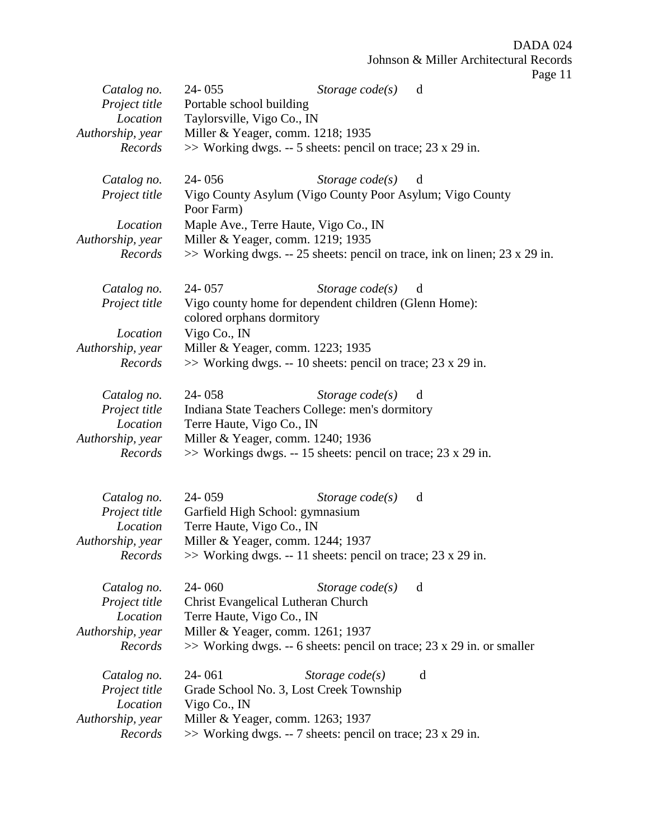| Catalog no.<br>Project title<br>Location<br>Authorship, year<br>Records | $24 - 055$<br>Storage $code(s)$<br>d<br>Portable school building<br>Taylorsville, Vigo Co., IN<br>Miller & Yeager, comm. 1218; 1935<br>>> Working dwgs. -- 5 sheets: pencil on trace; 23 x 29 in.                        |
|-------------------------------------------------------------------------|--------------------------------------------------------------------------------------------------------------------------------------------------------------------------------------------------------------------------|
| Catalog no.<br>Project title                                            | 24-056<br>Storage $code(s)$<br>d<br>Vigo County Asylum (Vigo County Poor Asylum; Vigo County<br>Poor Farm)                                                                                                               |
| Location<br>Authorship, year<br>Records                                 | Maple Ave., Terre Haute, Vigo Co., IN<br>Miller & Yeager, comm. 1219; 1935<br>>> Working dwgs. -- 25 sheets: pencil on trace, ink on linen; 23 x 29 in.                                                                  |
| Catalog no.<br>Project title                                            | 24-057<br>Storage $code(s)$<br>d<br>Vigo county home for dependent children (Glenn Home):<br>colored orphans dormitory                                                                                                   |
| Location<br>Authorship, year<br>Records                                 | Vigo Co., IN<br>Miller & Yeager, comm. 1223; 1935<br>$\gg$ Working dwgs. -- 10 sheets: pencil on trace; 23 x 29 in.                                                                                                      |
| Catalog no.<br>Project title<br>Location<br>Authorship, year<br>Records | 24-058<br>Storage $code(s)$<br>d<br>Indiana State Teachers College: men's dormitory<br>Terre Haute, Vigo Co., IN<br>Miller & Yeager, comm. 1240; 1936<br>$\gg$ Workings dwgs. -- 15 sheets: pencil on trace; 23 x 29 in. |
| Catalog no.<br>Project title<br>Location<br>Authorship, year<br>Records | 24-059<br>Storage $code(s)$<br>d<br>Garfield High School: gymnasium<br>Terre Haute, Vigo Co., IN<br>Miller & Yeager, comm. 1244; 1937<br>>> Working dwgs. -- 11 sheets: pencil on trace; 23 x 29 in.                     |
| Catalog no.<br>Project title<br>Location<br>Authorship, year<br>Records | $24 - 060$<br>Storage $code(s)$<br>d<br>Christ Evangelical Lutheran Church<br>Terre Haute, Vigo Co., IN<br>Miller & Yeager, comm. 1261; 1937<br>$\gg$ Working dwgs. -- 6 sheets: pencil on trace; 23 x 29 in. or smaller |
| Catalog no.<br>Project title<br>Location<br>Authorship, year<br>Records | 24-061<br>Storage $code(s)$<br>d<br>Grade School No. 3, Lost Creek Township<br>Vigo Co., IN<br>Miller & Yeager, comm. 1263; 1937<br>$\gg$ Working dwgs. -- 7 sheets: pencil on trace; 23 x 29 in.                        |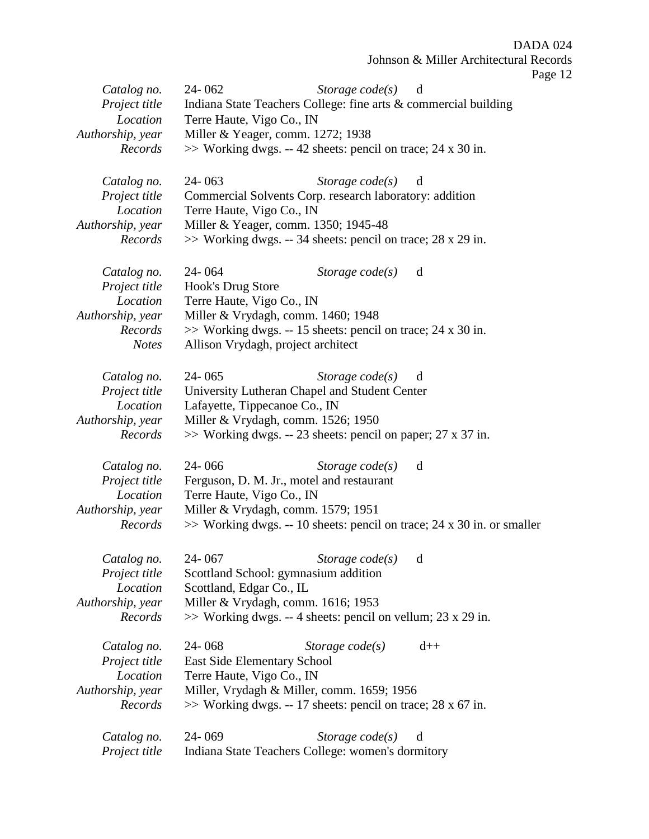DADA 024

Johnson & Miller Architectural Records

Page 12

| Catalog no.      | $24 - 062$                                                      | Storage $code(s)$   | d                                                                         |
|------------------|-----------------------------------------------------------------|---------------------|---------------------------------------------------------------------------|
| Project title    | Indiana State Teachers College: fine arts & commercial building |                     |                                                                           |
| Location         | Terre Haute, Vigo Co., IN                                       |                     |                                                                           |
| Authorship, year | Miller & Yeager, comm. 1272; 1938                               |                     |                                                                           |
| Records          | >> Working dwgs. -- 42 sheets: pencil on trace; 24 x 30 in.     |                     |                                                                           |
|                  |                                                                 |                     |                                                                           |
| Catalog no.      | $24 - 063$                                                      | Storage $code(s)$   | d                                                                         |
| Project title    | Commercial Solvents Corp. research laboratory: addition         |                     |                                                                           |
| Location         | Terre Haute, Vigo Co., IN                                       |                     |                                                                           |
| Authorship, year | Miller & Yeager, comm. 1350; 1945-48                            |                     |                                                                           |
| Records          | $\gg$ Working dwgs. -- 34 sheets: pencil on trace; 28 x 29 in.  |                     |                                                                           |
|                  |                                                                 |                     |                                                                           |
| Catalog no.      | 24-064                                                          | Storage $code(s)$   | d                                                                         |
| Project title    | Hook's Drug Store                                               |                     |                                                                           |
| Location         | Terre Haute, Vigo Co., IN                                       |                     |                                                                           |
| Authorship, year | Miller & Vrydagh, comm. 1460; 1948                              |                     |                                                                           |
| Records          | $\gg$ Working dwgs. -- 15 sheets: pencil on trace; 24 x 30 in.  |                     |                                                                           |
| <b>Notes</b>     | Allison Vrydagh, project architect                              |                     |                                                                           |
|                  |                                                                 |                     |                                                                           |
| Catalog no.      | $24 - 065$                                                      | Storage code(s)     | d                                                                         |
| Project title    | University Lutheran Chapel and Student Center                   |                     |                                                                           |
| Location         | Lafayette, Tippecanoe Co., IN                                   |                     |                                                                           |
| Authorship, year | Miller & Vrydagh, comm. 1526; 1950                              |                     |                                                                           |
| Records          | >> Working dwgs. -- 23 sheets: pencil on paper; 27 x 37 in.     |                     |                                                                           |
|                  |                                                                 |                     |                                                                           |
| Catalog no.      | 24-066                                                          | Storage $code(s)$   | d                                                                         |
| Project title    | Ferguson, D. M. Jr., motel and restaurant                       |                     |                                                                           |
| Location         | Terre Haute, Vigo Co., IN                                       |                     |                                                                           |
| Authorship, year | Miller & Vrydagh, comm. 1579; 1951                              |                     |                                                                           |
| Records          |                                                                 |                     | $\gg$ Working dwgs. -- 10 sheets: pencil on trace; 24 x 30 in. or smaller |
|                  |                                                                 |                     |                                                                           |
| Catalog no.      | 24-067                                                          | Storage $code(s)$ d |                                                                           |
| Project title    | Scottland School: gymnasium addition                            |                     |                                                                           |
| Location         | Scottland, Edgar Co., IL                                        |                     |                                                                           |
| Authorship, year | Miller & Vrydagh, comm. 1616; 1953                              |                     |                                                                           |
| Records          | $\gg$ Working dwgs. -- 4 sheets: pencil on vellum; 23 x 29 in.  |                     |                                                                           |
|                  |                                                                 |                     |                                                                           |
| Catalog no.      | 24-068                                                          | Storage code(s)     | $d++$                                                                     |
| Project title    | <b>East Side Elementary School</b>                              |                     |                                                                           |
| Location         | Terre Haute, Vigo Co., IN                                       |                     |                                                                           |
| Authorship, year | Miller, Vrydagh & Miller, comm. 1659; 1956                      |                     |                                                                           |
| Records          | $\gg$ Working dwgs. -- 17 sheets: pencil on trace; 28 x 67 in.  |                     |                                                                           |
|                  |                                                                 |                     |                                                                           |
| Catalog no.      | 24-069                                                          | Storage $code(s)$   | d                                                                         |
| Project title    | Indiana State Teachers College: women's dormitory               |                     |                                                                           |
|                  |                                                                 |                     |                                                                           |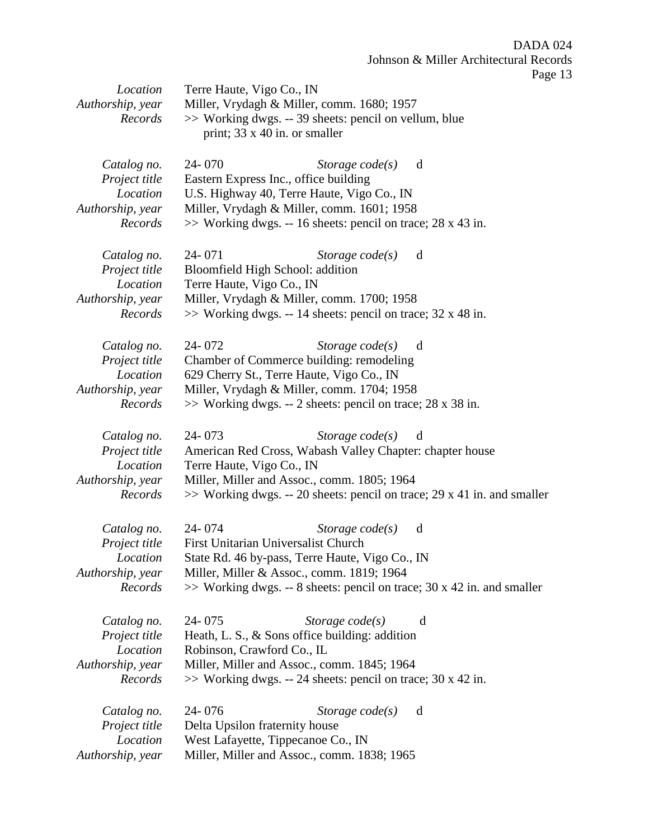| Location         | Terre Haute, Vigo Co., IN                                                  |  |  |
|------------------|----------------------------------------------------------------------------|--|--|
| Authorship, year | Miller, Vrydagh & Miller, comm. 1680; 1957                                 |  |  |
| Records          | >> Working dwgs. -- 39 sheets: pencil on vellum, blue                      |  |  |
|                  | print; 33 x 40 in. or smaller                                              |  |  |
|                  |                                                                            |  |  |
| Catalog no.      | 24-070<br>Storage $code(s)$<br>d                                           |  |  |
| Project title    | Eastern Express Inc., office building                                      |  |  |
| Location         | U.S. Highway 40, Terre Haute, Vigo Co., IN                                 |  |  |
| Authorship, year | Miller, Vrydagh & Miller, comm. 1601; 1958                                 |  |  |
| Records          | $\gg$ Working dwgs. -- 16 sheets: pencil on trace; 28 x 43 in.             |  |  |
|                  |                                                                            |  |  |
|                  |                                                                            |  |  |
| Catalog no.      | 24-071<br>Storage $code(s)$<br>d                                           |  |  |
| Project title    | Bloomfield High School: addition                                           |  |  |
| Location         | Terre Haute, Vigo Co., IN                                                  |  |  |
| Authorship, year | Miller, Vrydagh & Miller, comm. 1700; 1958                                 |  |  |
| Records          | $\gg$ Working dwgs. -- 14 sheets: pencil on trace; 32 x 48 in.             |  |  |
|                  |                                                                            |  |  |
| Catalog no.      | 24-072<br>Storage $code(s)$<br>d                                           |  |  |
| Project title    | Chamber of Commerce building: remodeling                                   |  |  |
| Location         | 629 Cherry St., Terre Haute, Vigo Co., IN                                  |  |  |
| Authorship, year | Miller, Vrydagh & Miller, comm. 1704; 1958                                 |  |  |
| Records          | $\gg$ Working dwgs. -- 2 sheets: pencil on trace; 28 x 38 in.              |  |  |
|                  |                                                                            |  |  |
| Catalog no.      | 24-073<br>Storage $code(s)$<br>d                                           |  |  |
| Project title    | American Red Cross, Wabash Valley Chapter: chapter house                   |  |  |
| Location         | Terre Haute, Vigo Co., IN                                                  |  |  |
| Authorship, year | Miller, Miller and Assoc., comm. 1805; 1964                                |  |  |
| Records          | $\gg$ Working dwgs. -- 20 sheets: pencil on trace; 29 x 41 in. and smaller |  |  |
|                  |                                                                            |  |  |
| Catalog no.      | 24-074<br>Storage $code(s)$<br>d                                           |  |  |
| Project title    | First Unitarian Universalist Church                                        |  |  |
| Location         | State Rd. 46 by-pass, Terre Haute, Vigo Co., IN                            |  |  |
| Authorship, year | Miller, Miller & Assoc., comm. 1819; 1964                                  |  |  |
| Records          | $\gg$ Working dwgs. -- 8 sheets: pencil on trace; 30 x 42 in. and smaller  |  |  |
|                  |                                                                            |  |  |
|                  |                                                                            |  |  |
| Catalog no.      | 24-075<br>Storage $code(s)$<br>d                                           |  |  |
| Project title    | Heath, L. S., & Sons office building: addition                             |  |  |
| Location         | Robinson, Crawford Co., IL                                                 |  |  |
| Authorship, year | Miller, Miller and Assoc., comm. 1845; 1964                                |  |  |
| Records          | $\gg$ Working dwgs. -- 24 sheets: pencil on trace; 30 x 42 in.             |  |  |
|                  |                                                                            |  |  |
| Catalog no.      | 24-076<br>Storage $code(s)$<br>d                                           |  |  |
| Project title    | Delta Upsilon fraternity house                                             |  |  |
| Location         | West Lafayette, Tippecanoe Co., IN                                         |  |  |
| Authorship, year | Miller, Miller and Assoc., comm. 1838; 1965                                |  |  |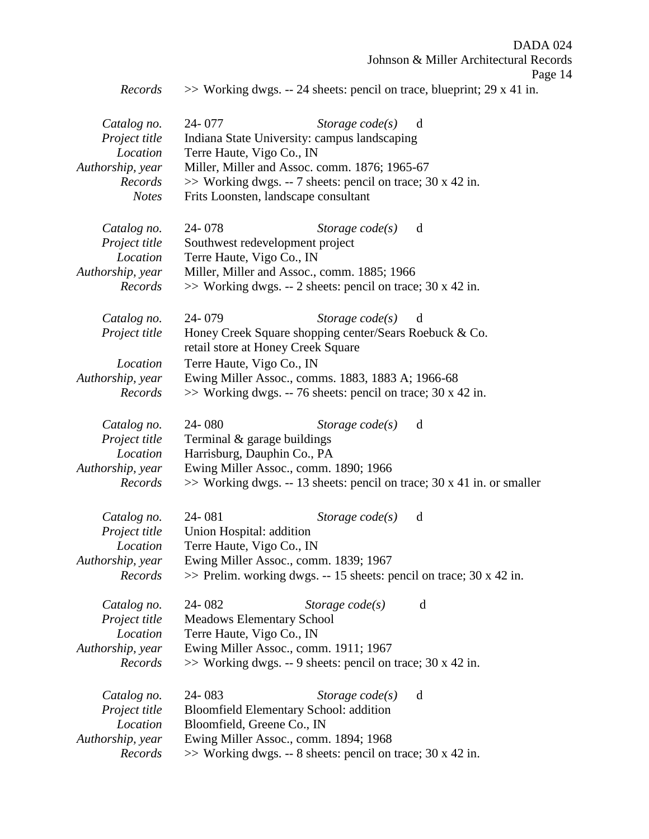*Records* >> Working dwgs. -- 24 sheets: pencil on trace, blueprint; 29 x 41 in.

| Catalog no.<br>Project title<br>Location<br>Authorship, year<br>Records<br><b>Notes</b> | 24-077<br>Indiana State University: campus landscaping<br>Terre Haute, Vigo Co., IN<br>Miller, Miller and Assoc. comm. 1876; 1965-67<br>$\gg$ Working dwgs. -- 7 sheets: pencil on trace; 30 x 42 in.<br>Frits Loonsten, landscape consultant              | Storage $code(s)$ | d                                                                              |
|-----------------------------------------------------------------------------------------|------------------------------------------------------------------------------------------------------------------------------------------------------------------------------------------------------------------------------------------------------------|-------------------|--------------------------------------------------------------------------------|
| Catalog no.<br>Project title<br>Location<br>Authorship, year<br>Records                 | 24-078<br>Southwest redevelopment project<br>Terre Haute, Vigo Co., IN<br>Miller, Miller and Assoc., comm. 1885; 1966<br>$\gg$ Working dwgs. -- 2 sheets: pencil on trace; 30 x 42 in.                                                                     | Storage $code(s)$ | d                                                                              |
| Catalog no.<br>Project title<br>Location<br>Authorship, year<br>Records                 | 24-079<br>Honey Creek Square shopping center/Sears Roebuck & Co.<br>retail store at Honey Creek Square<br>Terre Haute, Vigo Co., IN<br>Ewing Miller Assoc., comms. 1883, 1883 A; 1966-68<br>$\gg$ Working dwgs. -- 76 sheets: pencil on trace; 30 x 42 in. | Storage $code(s)$ | d                                                                              |
| Catalog no.<br>Project title<br>Location<br>Authorship, year<br>Records                 | $24 - 080$<br>Terminal & garage buildings<br>Harrisburg, Dauphin Co., PA<br>Ewing Miller Assoc., comm. 1890; 1966                                                                                                                                          | Storage $code(s)$ | d<br>$\gg$ Working dwgs. -- 13 sheets: pencil on trace; 30 x 41 in. or smaller |
| Catalog no.<br>Project title<br>Location<br>Authorship, year<br>Records                 | 24-081<br>Union Hospital: addition<br>Terre Haute, Vigo Co., IN<br>Ewing Miller Assoc., comm. 1839; 1967<br>>> Prelim. working dwgs. -- 15 sheets: pencil on trace; 30 x 42 in.                                                                            | Storage $code(s)$ | d                                                                              |
| Catalog no.<br>Project title<br>Location<br>Authorship, year<br>Records                 | 24-082<br><b>Meadows Elementary School</b><br>Terre Haute, Vigo Co., IN<br>Ewing Miller Assoc., comm. 1911; 1967<br>$\gg$ Working dwgs. -- 9 sheets: pencil on trace; 30 x 42 in.                                                                          | Storage $code(s)$ | d                                                                              |
| Catalog no.<br>Project title<br>Location<br>Authorship, year<br>Records                 | 24-083<br>Bloomfield Elementary School: addition<br>Bloomfield, Greene Co., IN<br>Ewing Miller Assoc., comm. 1894; 1968<br>>> Working dwgs. -- 8 sheets: pencil on trace; 30 x 42 in.                                                                      | Storage $code(s)$ | d                                                                              |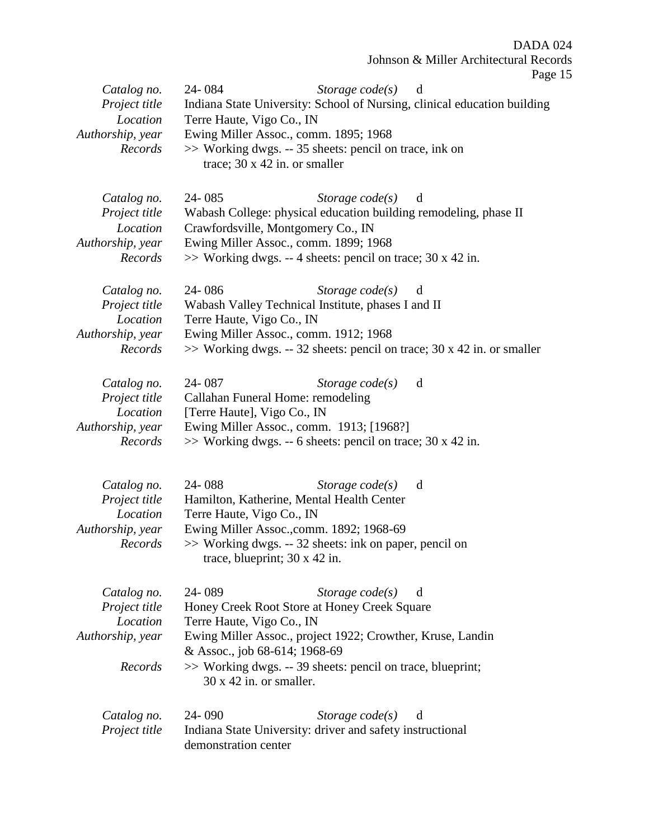DADA 024

Johnson & Miller Architectural Records

| u |  |
|---|--|
|---|--|

| Catalog no.<br>Project title<br>Location<br>Authorship, year<br>Records | 24-084<br>Storage $code(s)$<br>d<br>Indiana State University: School of Nursing, clinical education building<br>Terre Haute, Vigo Co., IN<br>Ewing Miller Assoc., comm. 1895; 1968<br>>> Working dwgs. -- 35 sheets: pencil on trace, ink on<br>trace; $30 \times 42$ in. or smaller                         |
|-------------------------------------------------------------------------|--------------------------------------------------------------------------------------------------------------------------------------------------------------------------------------------------------------------------------------------------------------------------------------------------------------|
| Catalog no.<br>Project title<br>Location<br>Authorship, year<br>Records | 24-085<br>Storage $code(s)$<br>d<br>Wabash College: physical education building remodeling, phase II<br>Crawfordsville, Montgomery Co., IN<br>Ewing Miller Assoc., comm. 1899; 1968<br>>> Working dwgs. -- 4 sheets: pencil on trace; 30 x 42 in.                                                            |
| Catalog no.<br>Project title<br>Location<br>Authorship, year<br>Records | 24-086<br>Storage $code(s)$<br>d<br>Wabash Valley Technical Institute, phases I and II<br>Terre Haute, Vigo Co., IN<br>Ewing Miller Assoc., comm. 1912; 1968<br>>> Working dwgs. -- 32 sheets: pencil on trace; 30 x 42 in. or smaller                                                                       |
| Catalog no.<br>Project title<br>Location<br>Authorship, year<br>Records | 24-087<br>Storage code(s)<br>d<br>Callahan Funeral Home: remodeling<br>[Terre Haute], Vigo Co., IN<br>Ewing Miller Assoc., comm. 1913; [1968?]<br>$\gg$ Working dwgs. -- 6 sheets: pencil on trace; 30 x 42 in.                                                                                              |
| Catalog no.<br>Project title<br>Location<br>Authorship, year<br>Records | 24-088<br>Storage $code(s)$<br>d<br>Hamilton, Katherine, Mental Health Center<br>Terre Haute, Vigo Co., IN<br>Ewing Miller Assoc., comm. 1892; 1968-69<br>>> Working dwgs. -- 32 sheets: ink on paper, pencil on<br>trace, blueprint; $30 \times 42$ in.                                                     |
| Catalog no.<br>Project title<br>Location<br>Authorship, year<br>Records | 24-089<br>Storage $code(s)$<br>d<br>Honey Creek Root Store at Honey Creek Square<br>Terre Haute, Vigo Co., IN<br>Ewing Miller Assoc., project 1922; Crowther, Kruse, Landin<br>& Assoc., job 68-614; 1968-69<br>>> Working dwgs. -- 39 sheets: pencil on trace, blueprint;<br>$30 \times 42$ in. or smaller. |
| Catalog no.<br>Project title                                            | 24-090<br>Storage $code(s)$<br>d<br>Indiana State University: driver and safety instructional<br>demonstration center                                                                                                                                                                                        |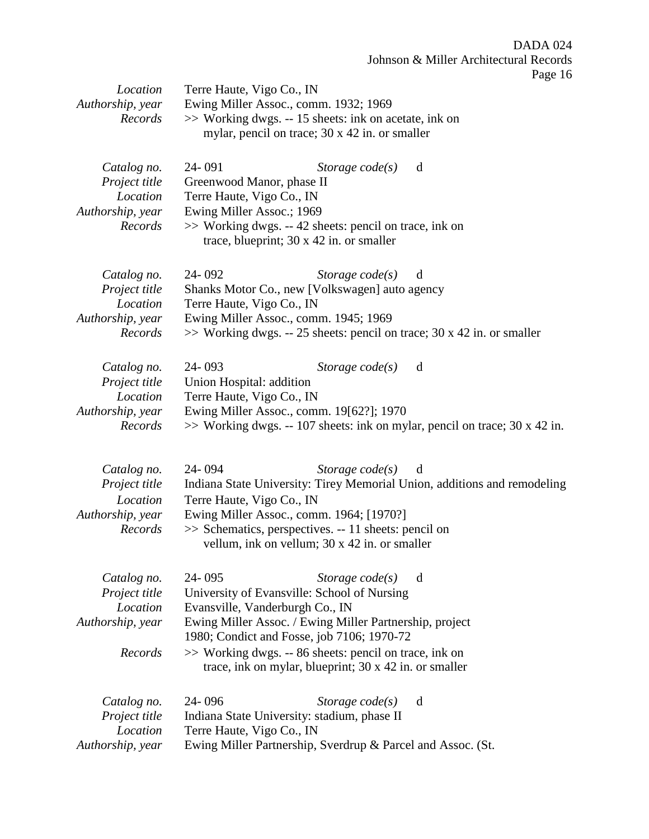| Location                  | Terre Haute, Vigo Co., IN                                                     |  |  |  |
|---------------------------|-------------------------------------------------------------------------------|--|--|--|
| Authorship, year          | Ewing Miller Assoc., comm. 1932; 1969                                         |  |  |  |
| Records                   | >> Working dwgs. -- 15 sheets: ink on acetate, ink on                         |  |  |  |
|                           | mylar, pencil on trace; 30 x 42 in. or smaller                                |  |  |  |
|                           |                                                                               |  |  |  |
| Catalog no.               | 24-091<br>Storage $code(s)$<br>d                                              |  |  |  |
| Project title             | Greenwood Manor, phase II                                                     |  |  |  |
| Location                  | Terre Haute, Vigo Co., IN                                                     |  |  |  |
| Authorship, year          | Ewing Miller Assoc.; 1969                                                     |  |  |  |
| Records                   | >> Working dwgs. -- 42 sheets: pencil on trace, ink on                        |  |  |  |
|                           | trace, blueprint; $30 \times 42$ in. or smaller                               |  |  |  |
| Catalog no.               | 24-092<br>Storage $code(s)$<br>d                                              |  |  |  |
|                           |                                                                               |  |  |  |
| Project title<br>Location | Shanks Motor Co., new [Volkswagen] auto agency                                |  |  |  |
|                           | Terre Haute, Vigo Co., IN                                                     |  |  |  |
| Authorship, year          | Ewing Miller Assoc., comm. 1945; 1969                                         |  |  |  |
| Records                   | $\gg$ Working dwgs. -- 25 sheets: pencil on trace; 30 x 42 in. or smaller     |  |  |  |
| Catalog no.               | 24-093<br>Storage $code(s)$<br>d                                              |  |  |  |
| Project title             | Union Hospital: addition                                                      |  |  |  |
| Location                  | Terre Haute, Vigo Co., IN                                                     |  |  |  |
| Authorship, year          | Ewing Miller Assoc., comm. 19[62?]; 1970                                      |  |  |  |
| Records                   | $\gg$ Working dwgs. -- 107 sheets: ink on mylar, pencil on trace; 30 x 42 in. |  |  |  |
|                           |                                                                               |  |  |  |
| Catalog no.               | 24-094<br>Storage $code(s)$<br>d                                              |  |  |  |
| Project title             | Indiana State University: Tirey Memorial Union, additions and remodeling      |  |  |  |
| Location                  | Terre Haute, Vigo Co., IN                                                     |  |  |  |
| Authorship, year          | Ewing Miller Assoc., comm. 1964; [1970?]                                      |  |  |  |
| Records                   | >> Schematics, perspectives. -- 11 sheets: pencil on                          |  |  |  |
|                           | vellum, ink on vellum; 30 x 42 in. or smaller                                 |  |  |  |
|                           |                                                                               |  |  |  |
| Catalog no.               | 24-095<br>Storage $code(s)$<br>d                                              |  |  |  |
| Project title             | University of Evansville: School of Nursing                                   |  |  |  |
| Location                  | Evansville, Vanderburgh Co., IN                                               |  |  |  |
| Authorship, year          | Ewing Miller Assoc. / Ewing Miller Partnership, project                       |  |  |  |
|                           | 1980; Condict and Fosse, job 7106; 1970-72                                    |  |  |  |
| Records                   | >> Working dwgs. -- 86 sheets: pencil on trace, ink on                        |  |  |  |
|                           | trace, ink on mylar, blueprint; 30 x 42 in. or smaller                        |  |  |  |
| Catalog no.               | 24-096<br>Storage $code(s)$<br>d                                              |  |  |  |
| Project title             | Indiana State University: stadium, phase II                                   |  |  |  |
| Location                  | Terre Haute, Vigo Co., IN                                                     |  |  |  |
| Authorship, year          | Ewing Miller Partnership, Sverdrup & Parcel and Assoc. (St.                   |  |  |  |
|                           |                                                                               |  |  |  |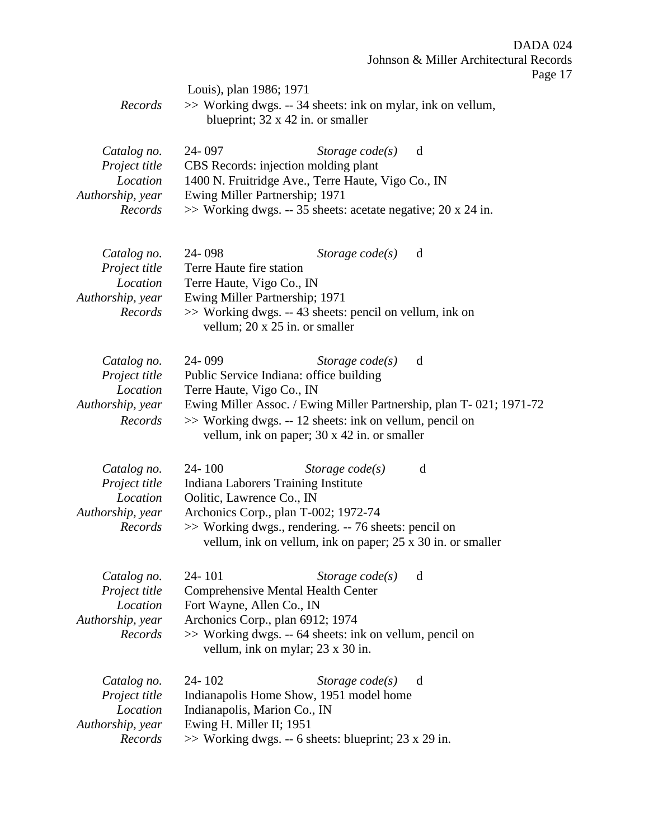|                                                                         |                                                                                                                                                                                                                          |                                                                                  | ع 1 a                                                                    |
|-------------------------------------------------------------------------|--------------------------------------------------------------------------------------------------------------------------------------------------------------------------------------------------------------------------|----------------------------------------------------------------------------------|--------------------------------------------------------------------------|
| Records                                                                 | Louis), plan 1986; 1971<br>>> Working dwgs. -- 34 sheets: ink on mylar, ink on vellum,<br>blueprint; $32 \times 42$ in. or smaller                                                                                       |                                                                                  |                                                                          |
| Catalog no.<br>Project title<br>Location<br>Authorship, year<br>Records | 24-097<br>CBS Records: injection molding plant<br>1400 N. Fruitridge Ave., Terre Haute, Vigo Co., IN<br>Ewing Miller Partnership; 1971<br>>> Working dwgs. -- 35 sheets: acetate negative; 20 x 24 in.                   | Storage $code(s)$                                                                | d                                                                        |
| Catalog no.<br>Project title<br>Location<br>Authorship, year<br>Records | 24-098<br>Terre Haute fire station<br>Terre Haute, Vigo Co., IN<br>Ewing Miller Partnership; 1971<br>>> Working dwgs. -- 43 sheets: pencil on vellum, ink on<br>vellum; 20 x 25 in. or smaller                           | Storage $code(s)$                                                                | d                                                                        |
| Catalog no.<br>Project title<br>Location<br>Authorship, year<br>Records | 24-099<br>Public Service Indiana: office building<br>Terre Haute, Vigo Co., IN<br>>> Working dwgs. -- 12 sheets: ink on vellum, pencil on                                                                                | Storage $code(s)$<br>vellum, ink on paper; 30 x 42 in. or smaller                | d<br>Ewing Miller Assoc. / Ewing Miller Partnership, plan T-021; 1971-72 |
| Catalog no.<br>Project title<br>Location<br>Authorship, year<br>Records | $24 - 100$<br>Indiana Laborers Training Institute<br>Oolitic, Lawrence Co., IN<br>Archonics Corp., plan T-002; 1972-74<br>>> Working dwgs., rendering. -- 76 sheets: pencil on                                           | Storage $code(s)$<br>vellum, ink on vellum, ink on paper; 25 x 30 in. or smaller | d                                                                        |
| Catalog no.<br>Project title<br>Location<br>Authorship, year<br>Records | $24 - 101$<br><b>Comprehensive Mental Health Center</b><br>Fort Wayne, Allen Co., IN<br>Archonics Corp., plan 6912; 1974<br>>> Working dwgs. -- 64 sheets: ink on vellum, pencil on<br>vellum, ink on mylar; 23 x 30 in. | Storage $code(s)$                                                                | d                                                                        |
| Catalog no.<br>Project title<br>Location<br>Authorship, year<br>Records | 24-102<br>Indianapolis Home Show, 1951 model home<br>Indianapolis, Marion Co., IN<br>Ewing H. Miller II; 1951<br>$\gg$ Working dwgs. -- 6 sheets: blueprint; 23 x 29 in.                                                 | Storage $code(s)$                                                                | d                                                                        |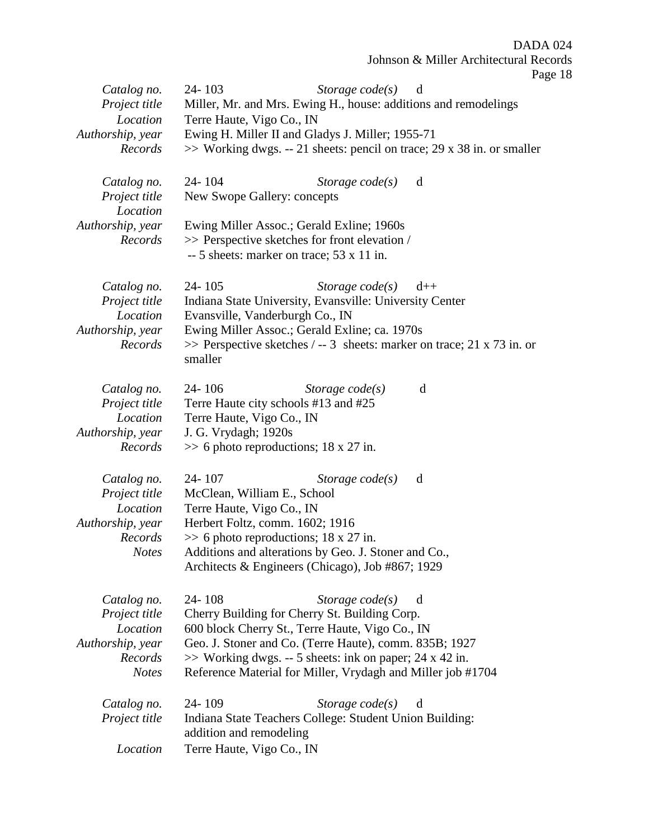|                                                                                         | Johnson & Miller Architectural Records<br>Page 18                                                                                                                                                                                                                                                                           |
|-----------------------------------------------------------------------------------------|-----------------------------------------------------------------------------------------------------------------------------------------------------------------------------------------------------------------------------------------------------------------------------------------------------------------------------|
| Catalog no.<br>Project title<br>Location<br>Authorship, year<br>Records                 | $24 - 103$<br>d<br>Storage $code(s)$<br>Miller, Mr. and Mrs. Ewing H., house: additions and remodelings<br>Terre Haute, Vigo Co., IN<br>Ewing H. Miller II and Gladys J. Miller; 1955-71<br>$\gg$ Working dwgs. -- 21 sheets: pencil on trace; 29 x 38 in. or smaller                                                       |
| Catalog no.<br>Project title<br>Location<br>Authorship, year<br>Records                 | 24-104<br>Storage $code(s)$<br>d<br>New Swope Gallery: concepts<br>Ewing Miller Assoc.; Gerald Exline; 1960s<br>>> Perspective sketches for front elevation /<br>-- 5 sheets: marker on trace; 53 x 11 in.                                                                                                                  |
| Catalog no.<br>Project title<br>Location<br>Authorship, year<br>Records                 | 24-105<br>Storage $code(s)$<br>$d++$<br>Indiana State University, Evansville: University Center<br>Evansville, Vanderburgh Co., IN<br>Ewing Miller Assoc.; Gerald Exline; ca. 1970s<br>$\gg$ Perspective sketches / -- 3 sheets: marker on trace; 21 x 73 in. or<br>smaller                                                 |
| Catalog no.<br>Project title<br>Location<br>Authorship, year<br>Records                 | $24 - 106$<br>Storage $code(s)$<br>d<br>Terre Haute city schools #13 and #25<br>Terre Haute, Vigo Co., IN<br>J. G. Vrydagh; 1920s<br>$\gg$ 6 photo reproductions; 18 x 27 in.                                                                                                                                               |
| Catalog no.<br>Project title<br>Location<br>Authorship, year<br>Records<br><b>Notes</b> | 24-107<br>Storage $code(s)$<br>d<br>McClean, William E., School<br>Terre Haute, Vigo Co., IN<br>Herbert Foltz, comm. 1602; 1916<br>$\gg$ 6 photo reproductions; 18 x 27 in.<br>Additions and alterations by Geo. J. Stoner and Co.,<br>Architects & Engineers (Chicago), Job #867; 1929                                     |
| Catalog no.<br>Project title<br>Location<br>Authorship, year<br>Records<br><b>Notes</b> | 24-108<br>Storage $code(s)$<br>d<br>Cherry Building for Cherry St. Building Corp.<br>600 block Cherry St., Terre Haute, Vigo Co., IN<br>Geo. J. Stoner and Co. (Terre Haute), comm. 835B; 1927<br>$\gg$ Working dwgs. -- 5 sheets: ink on paper; 24 x 42 in.<br>Reference Material for Miller, Vrydagh and Miller job #1704 |
| Catalog no.<br>Project title<br>Location                                                | 24-109<br>Storage $code(s)$<br>d<br>Indiana State Teachers College: Student Union Building:<br>addition and remodeling<br>Terre Haute, Vigo Co., IN                                                                                                                                                                         |

DADA 024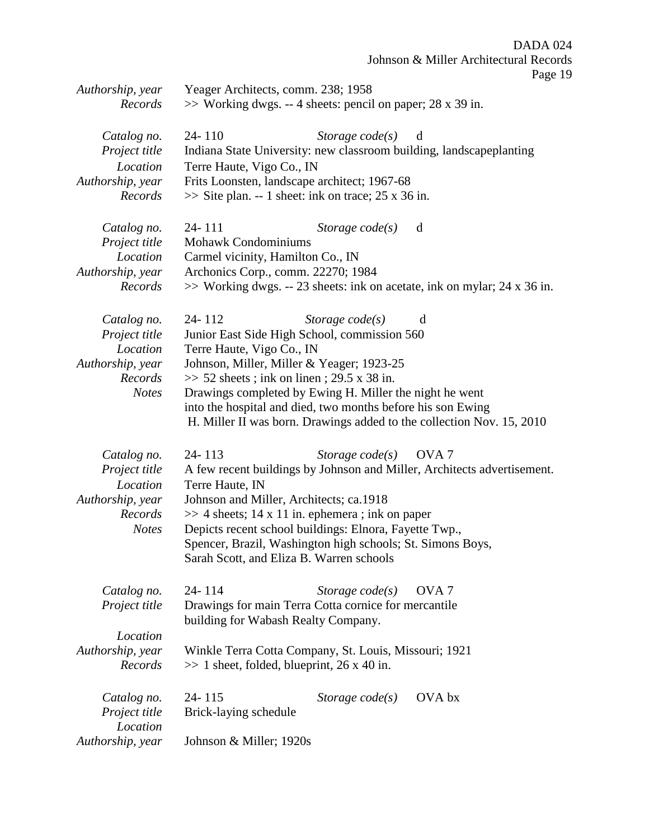Page 19

| Authorship, year<br>Records                                                             | Yeager Architects, comm. 238; 1958<br>$\gg$ Working dwgs. -- 4 sheets: pencil on paper; 28 x 39 in.                                                                                                                                                                                                                                                                                                                |  |  |  |
|-----------------------------------------------------------------------------------------|--------------------------------------------------------------------------------------------------------------------------------------------------------------------------------------------------------------------------------------------------------------------------------------------------------------------------------------------------------------------------------------------------------------------|--|--|--|
| Catalog no.<br>Project title<br>Location<br>Authorship, year<br>Records                 | $24 - 110$<br>Storage $code(s)$<br>d<br>Indiana State University: new classroom building, landscapeplanting<br>Terre Haute, Vigo Co., IN<br>Frits Loonsten, landscape architect; 1967-68<br>$\gg$ Site plan. -- 1 sheet: ink on trace; 25 x 36 in.                                                                                                                                                                 |  |  |  |
| Catalog no.<br>Project title<br>Location<br>Authorship, year<br>Records                 | 24-111<br>Storage $code(s)$<br>d<br>Mohawk Condominiums<br>Carmel vicinity, Hamilton Co., IN<br>Archonics Corp., comm. 22270; 1984<br>$\gg$ Working dwgs. -- 23 sheets: ink on acetate, ink on mylar; 24 x 36 in.                                                                                                                                                                                                  |  |  |  |
| Catalog no.<br>Project title<br>Location<br>Authorship, year<br>Records<br><b>Notes</b> | 24-112<br>Storage $code(s)$<br>d<br>Junior East Side High School, commission 560<br>Terre Haute, Vigo Co., IN<br>Johnson, Miller, Miller & Yeager; 1923-25<br>$\gg$ 52 sheets; ink on linen; 29.5 x 38 in.<br>Drawings completed by Ewing H. Miller the night he went<br>into the hospital and died, two months before his son Ewing<br>H. Miller II was born. Drawings added to the collection Nov. 15, 2010      |  |  |  |
| Catalog no.<br>Project title<br>Location<br>Authorship, year<br>Records<br><b>Notes</b> | 24-113<br>Storage $code(s)$<br>OVA <sub>7</sub><br>A few recent buildings by Johnson and Miller, Architects advertisement.<br>Terre Haute, IN<br>Johnson and Miller, Architects; ca.1918<br>$\gg$ 4 sheets; 14 x 11 in. ephemera; ink on paper<br>Depicts recent school buildings: Elnora, Fayette Twp.,<br>Spencer, Brazil, Washington high schools; St. Simons Boys,<br>Sarah Scott, and Eliza B. Warren schools |  |  |  |
| Catalog no.<br>Project title<br>Location                                                | 24-114<br>OVA <sub>7</sub><br>Storage $code(s)$<br>Drawings for main Terra Cotta cornice for mercantile<br>building for Wabash Realty Company.                                                                                                                                                                                                                                                                     |  |  |  |
| Authorship, year<br>Records                                                             | Winkle Terra Cotta Company, St. Louis, Missouri; 1921<br>$\gg$ 1 sheet, folded, blueprint, 26 x 40 in.                                                                                                                                                                                                                                                                                                             |  |  |  |
| Catalog no.<br>Project title<br>Location<br>Authorship, year                            | 24-115<br>OVA bx<br>Storage $code(s)$<br>Brick-laying schedule<br>Johnson & Miller; 1920s                                                                                                                                                                                                                                                                                                                          |  |  |  |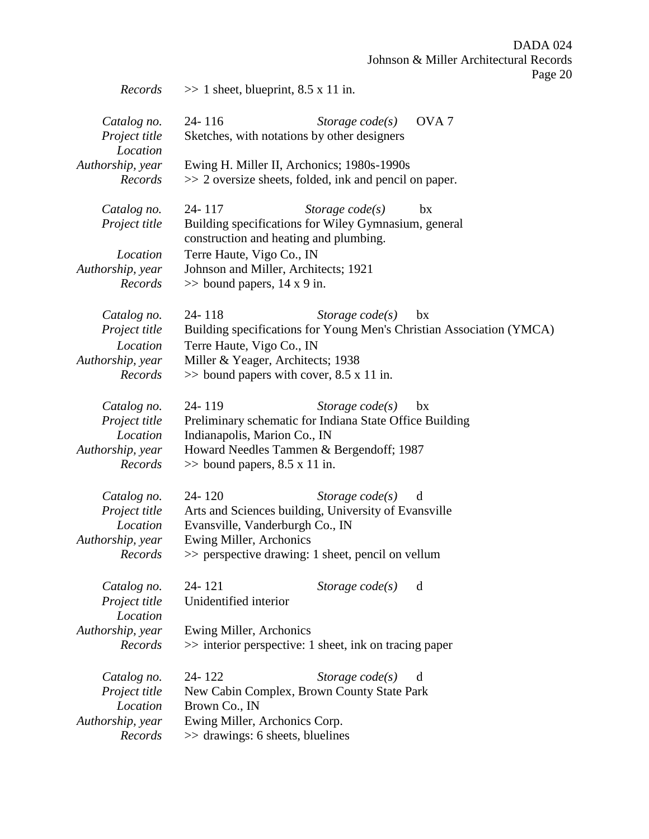*Records*  $\gg$  1 sheet, blueprint, 8.5 x 11 in. *Catalog no.* 24- 116 *Storage code(s)* OVA 7 *Project title* Sketches, with notations by other designers *Location Authorship, year* Ewing H. Miller II, Archonics; 1980s-1990s *Records* >> 2 oversize sheets, folded, ink and pencil on paper. *Catalog no.* 24- 117 *Storage code(s)* bx *Project title* Building specifications for Wiley Gymnasium, general construction and heating and plumbing. *Location* Terre Haute, Vigo Co., IN *Authorship, year* Johnson and Miller, Architects; 1921 *Records* >> bound papers, 14 x 9 in. *Catalog no.* 24- 118 *Storage code(s)* bx *Project title* Building specifications for Young Men's Christian Association (YMCA) *Location* Terre Haute, Vigo Co., IN *Authorship, year* Miller & Yeager, Architects; 1938 *Records* >> bound papers with cover, 8.5 x 11 in. *Catalog no.* 24- 119 *Storage code(s)* bx *Project title* Preliminary schematic for Indiana State Office Building *Location* Indianapolis, Marion Co., IN *Authorship, year* Howard Needles Tammen & Bergendoff; 1987 *Records* >> bound papers, 8.5 x 11 in. *Catalog no.* 24- 120 *Storage code(s)* d *Project title* Arts and Sciences building, University of Evansville *Location* Evansville, Vanderburgh Co., IN *Authorship, year* Ewing Miller, Archonics *Records* >> perspective drawing: 1 sheet, pencil on vellum *Catalog no.* 24- 121 *Storage code(s)* d *Project title* Unidentified interior *Location Authorship, year* Ewing Miller, Archonics *Records* >> interior perspective: 1 sheet, ink on tracing paper *Catalog no.* 24- 122 *Storage code(s)* d *Project title* New Cabin Complex, Brown County State Park *Location* Brown Co., IN *Authorship, year* Ewing Miller, Archonics Corp. *Records* >> drawings: 6 sheets, bluelines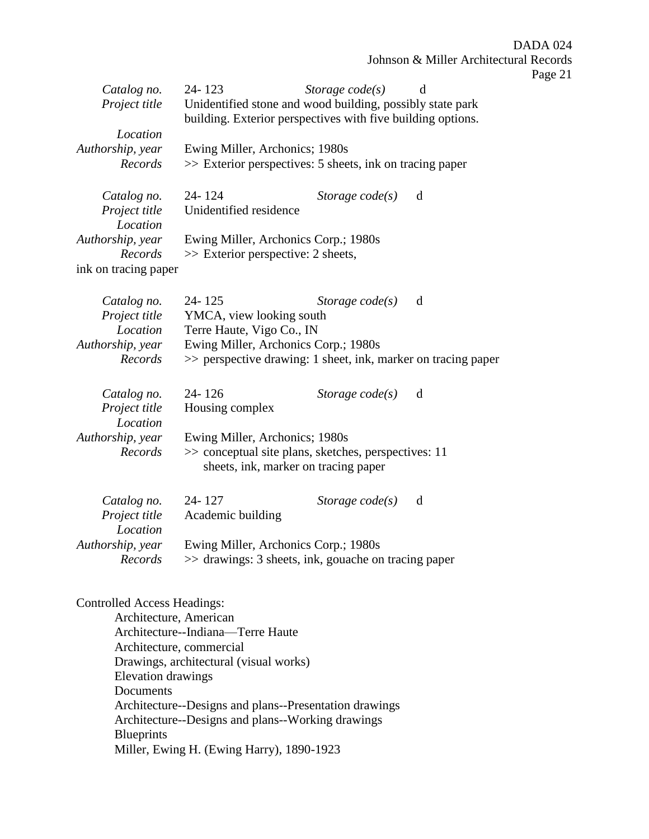Page 21

| Catalog no.          | 24-123                                                      | Storage $code(s)$ | d |
|----------------------|-------------------------------------------------------------|-------------------|---|
| Project title        | Unidentified stone and wood building, possibly state park   |                   |   |
|                      | building. Exterior perspectives with five building options. |                   |   |
| Location             |                                                             |                   |   |
| Authorship, year     | Ewing Miller, Archonics; 1980s                              |                   |   |
| Records              | >> Exterior perspectives: 5 sheets, ink on tracing paper    |                   |   |
| Catalog no.          | 24-124                                                      | Storage $code(s)$ | d |
| Project title        | Unidentified residence                                      |                   |   |
| Location             |                                                             |                   |   |
| Authorship, year     | Ewing Miller, Archonics Corp.; 1980s                        |                   |   |
| Records              | >> Exterior perspective: 2 sheets,                          |                   |   |
| ink on tracing paper |                                                             |                   |   |
| Catalog no.          | 24 - 125                                                    | Storage $code(s)$ | d |

| Calatog no.      | 24- IZJ                              | Storage code(S)                                                  | - 00 |
|------------------|--------------------------------------|------------------------------------------------------------------|------|
| Project title    | YMCA, view looking south             |                                                                  |      |
| Location         | Terre Haute, Vigo Co., IN            |                                                                  |      |
| Authorship, year | Ewing Miller, Archonics Corp.; 1980s |                                                                  |      |
| Records          |                                      | $\gg$ perspective drawing: 1 sheet, ink, marker on tracing paper |      |
|                  |                                      |                                                                  |      |

| Catalog no.      | $24 - 126$                     | Storage $code(s)$ d                                                                          |  |
|------------------|--------------------------------|----------------------------------------------------------------------------------------------|--|
| Project title    | Housing complex                |                                                                                              |  |
| Location         |                                |                                                                                              |  |
| Authorship, year | Ewing Miller, Archonics; 1980s |                                                                                              |  |
| Records          |                                | >> conceptual site plans, sketches, perspectives: 11<br>sheets, ink, marker on tracing paper |  |
|                  |                                |                                                                                              |  |

| Catalog no.      | 24-127                                               | Storage $code(s)$ | d |
|------------------|------------------------------------------------------|-------------------|---|
| Project title    | Academic building                                    |                   |   |
| Location         |                                                      |                   |   |
| Authorship, year | Ewing Miller, Archonics Corp.; 1980s                 |                   |   |
| Records          | >> drawings: 3 sheets, ink, gouache on tracing paper |                   |   |
|                  |                                                      |                   |   |

## Controlled Access Headings:

Architecture, American Architecture--Indiana—Terre Haute Architecture, commercial Drawings, architectural (visual works) Elevation drawings Documents Architecture--Designs and plans--Presentation drawings Architecture--Designs and plans--Working drawings **Blueprints** Miller, Ewing H. (Ewing Harry), 1890-1923